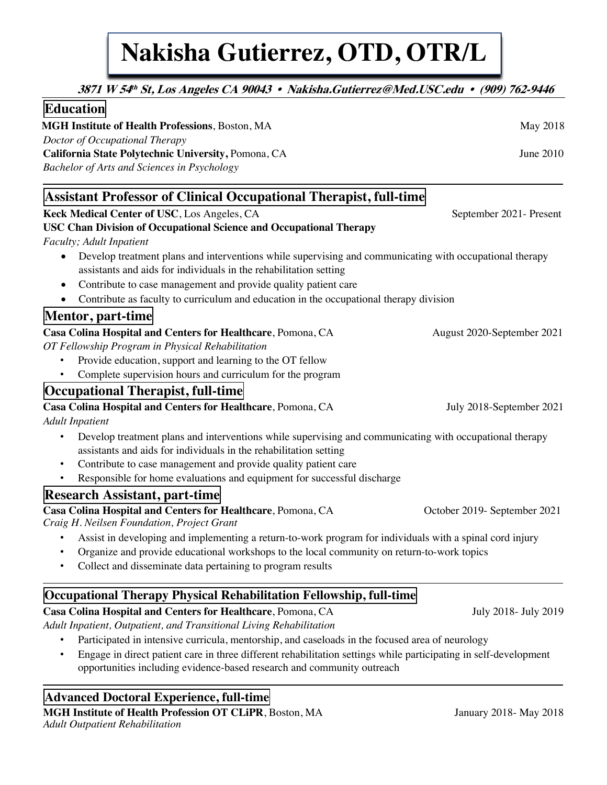# **Nakisha Gutierrez, OTD, OTR/L Nakisha Gutierrez, OTD, OTR/L**

| <b>Education</b>                                       |                 |
|--------------------------------------------------------|-----------------|
| <b>MGH Institute of Health Professions, Boston, MA</b> | <b>May 2018</b> |
| Doctor of Occupational Therapy                         |                 |
| California State Polytechnic University, Pomona, CA    | June $2010$     |
| Bachelor of Arts and Sciences in Psychology            |                 |

 **3871 W 54th St, Los Angeles CA 90043 • Nakisha.Gutierrez@Med.USC.edu • (909) 762-9446**

# **Assistant Professor of Clinical Occupational Therapist, full-time**

**Keck Medical Center of USC**, Los Angeles, CASeptember 2021- Present

**USC Chan Division of Occupational Science and Occupational Therapy**

#### *Faculty; Adult Inpatient*

- Develop treatment plans and interventions while supervising and communicating with occupational therapy assistants and aids for individuals in the rehabilitation setting
- Contribute to case management and provide quality patient care
- Contribute as faculty to curriculum and education in the occupational therapy division

# **Mentor, part-time**

#### **Casa Colina Hospital and Centers for Healthcare**, Pomona, CA August 2020-September 2021

*OT Fellowship Program in Physical Rehabilitation*

- Provide education, support and learning to the OT fellow
- Complete supervision hours and curriculum for the program

## **Occupational Therapist, full-time**

# **Casa Colina Hospital and Centers for Healthcare**, Pomona, CA July 2018-September 2021

#### *Adult Inpatient*

- Develop treatment plans and interventions while supervising and communicating with occupational therapy assistants and aids for individuals in the rehabilitation setting
- Contribute to case management and provide quality patient care
- Responsible for home evaluations and equipment for successful discharge

## **Research Assistant, part-time**

## **Casa Colina Hospital and Centers for Healthcare**, Pomona, CA October 2019- September 2021

*Craig H. Neilsen Foundation, Project Grant* 

- Assist in developing and implementing a return-to-work program for individuals with a spinal cord injury
- Organize and provide educational workshops to the local community on return-to-work topics
- Collect and disseminate data pertaining to program results

# **Occupational Therapy Physical Rehabilitation Fellowship, full-time**

## **Casa Colina Hospital and Centers for Healthcare**, Pomona, CA July 2018- July 2018- July 2019

*Adult Inpatient, Outpatient, and Transitional Living Rehabilitation* 

- Participated in intensive curricula, mentorship, and caseloads in the focused area of neurology
- Engage in direct patient care in three different rehabilitation settings while participating in self-development opportunities including evidence-based research and community outreach

## **Advanced Doctoral Experience, full-time**

**MGH Institute of Health Profession OT CLiPR**, Boston, MA January 2018- May 2018 *Adult Outpatient Rehabilitation*